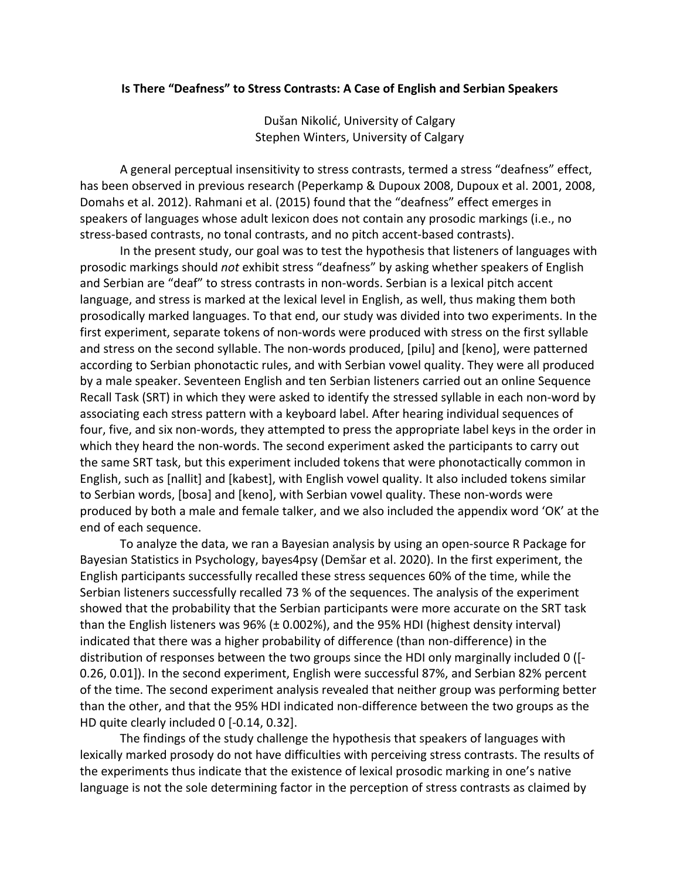## **Is There "Deafness" to Stress Contrasts: A Case of English and Serbian Speakers**

Dušan Nikolić, University of Calgary Stephen Winters, University of Calgary

A general perceptual insensitivity to stress contrasts, termed a stress "deafness" effect, has been observed in previous research (Peperkamp & Dupoux 2008, Dupoux et al. 2001, 2008, Domahs et al. 2012). Rahmani et al. (2015) found that the "deafness" effect emerges in speakers of languages whose adult lexicon does not contain any prosodic markings (i.e., no stress-based contrasts, no tonal contrasts, and no pitch accent-based contrasts).

In the present study, our goal was to test the hypothesis that listeners of languages with prosodic markings should *not* exhibit stress "deafness" by asking whether speakers of English and Serbian are "deaf" to stress contrasts in non-words. Serbian is a lexical pitch accent language, and stress is marked at the lexical level in English, as well, thus making them both prosodically marked languages. To that end, our study was divided into two experiments. In the first experiment, separate tokens of non-words were produced with stress on the first syllable and stress on the second syllable. The non-words produced, [pilu] and [keno], were patterned according to Serbian phonotactic rules, and with Serbian vowel quality. They were all produced by a male speaker. Seventeen English and ten Serbian listeners carried out an online Sequence Recall Task (SRT) in which they were asked to identify the stressed syllable in each non-word by associating each stress pattern with a keyboard label. After hearing individual sequences of four, five, and six non-words, they attempted to press the appropriate label keys in the order in which they heard the non-words. The second experiment asked the participants to carry out the same SRT task, but this experiment included tokens that were phonotactically common in English, such as [nallit] and [kabest], with English vowel quality. It also included tokens similar to Serbian words, [bosa] and [keno], with Serbian vowel quality. These non-words were produced by both a male and female talker, and we also included the appendix word 'OK' at the end of each sequence.

To analyze the data, we ran a Bayesian analysis by using an open-source R Package for Bayesian Statistics in Psychology, bayes4psy (Demšar et al. 2020). In the first experiment, the English participants successfully recalled these stress sequences 60% of the time, while the Serbian listeners successfully recalled 73 % of the sequences. The analysis of the experiment showed that the probability that the Serbian participants were more accurate on the SRT task than the English listeners was 96% (± 0.002%), and the 95% HDI (highest density interval) indicated that there was a higher probability of difference (than non-difference) in the distribution of responses between the two groups since the HDI only marginally included 0 ([- 0.26, 0.01]). In the second experiment, English were successful 87%, and Serbian 82% percent of the time. The second experiment analysis revealed that neither group was performing better than the other, and that the 95% HDI indicated non-difference between the two groups as the HD quite clearly included 0 [-0.14, 0.32].

The findings of the study challenge the hypothesis that speakers of languages with lexically marked prosody do not have difficulties with perceiving stress contrasts. The results of the experiments thus indicate that the existence of lexical prosodic marking in one's native language is not the sole determining factor in the perception of stress contrasts as claimed by